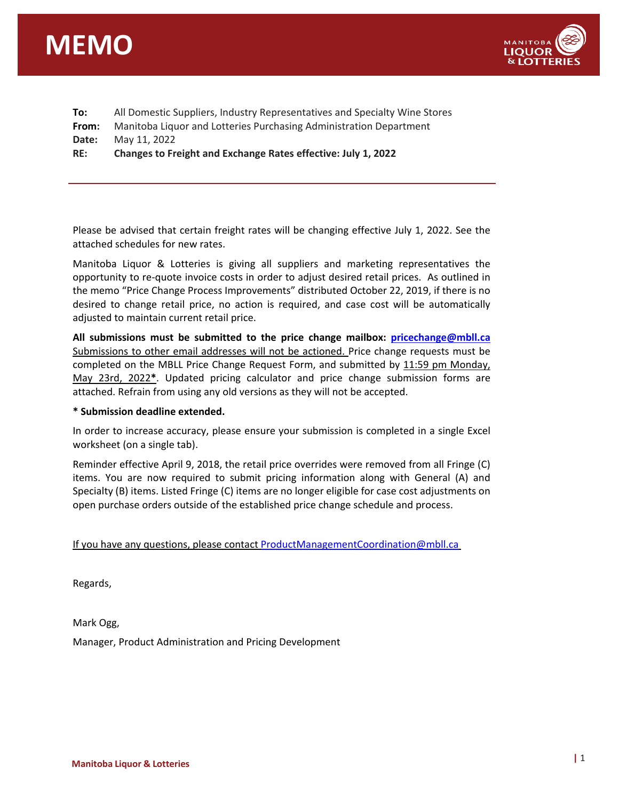



| To:   | All Domestic Suppliers, Industry Representatives and Specialty Wine Stores |  |
|-------|----------------------------------------------------------------------------|--|
| From: | Manitoba Liquor and Lotteries Purchasing Administration Department         |  |
| Date: | May 11, 2022                                                               |  |
| RE:   | Changes to Freight and Exchange Rates effective: July 1, 2022              |  |
|       |                                                                            |  |

Please be advised that certain freight rates will be changing effective July 1, 2022. See the attached schedules for new rates.

Manitoba Liquor & Lotteries is giving all suppliers and marketing representatives the opportunity to re-quote invoice costs in order to adjust desired retail prices. As outlined in the memo "Price Change Process Improvements" distributed October 22, 2019, if there is no desired to change retail price, no action is required, and case cost will be automatically adjusted to maintain current retail price.

**All submissions must be submitted to the price change mailbox: [pricechange@mbll.ca](mailto:pricechange@mbll.ca)** Submissions to other email addresses will not be actioned. Price change requests must be completed on the MBLL Price Change Request Form, and submitted by 11:59 pm Monday, May 23rd, 2022**\***. Updated pricing calculator and price change submission forms are attached. Refrain from using any old versions as they will not be accepted.

#### **\* Submission deadline extended.**

In order to increase accuracy, please ensure your submission is completed in a single Excel worksheet (on a single tab).

Reminder effective April 9, 2018, the retail price overrides were removed from all Fringe (C) items. You are now required to submit pricing information along with General (A) and Specialty (B) items. Listed Fringe (C) items are no longer eligible for case cost adjustments on open purchase orders outside of the established price change schedule and process.

If you have any questions, please contact [ProductManagementCoordination@mbll.ca](mailto:ProductManagementCoordination@mbll.ca)

Regards,

Mark Ogg,

Manager, Product Administration and Pricing Development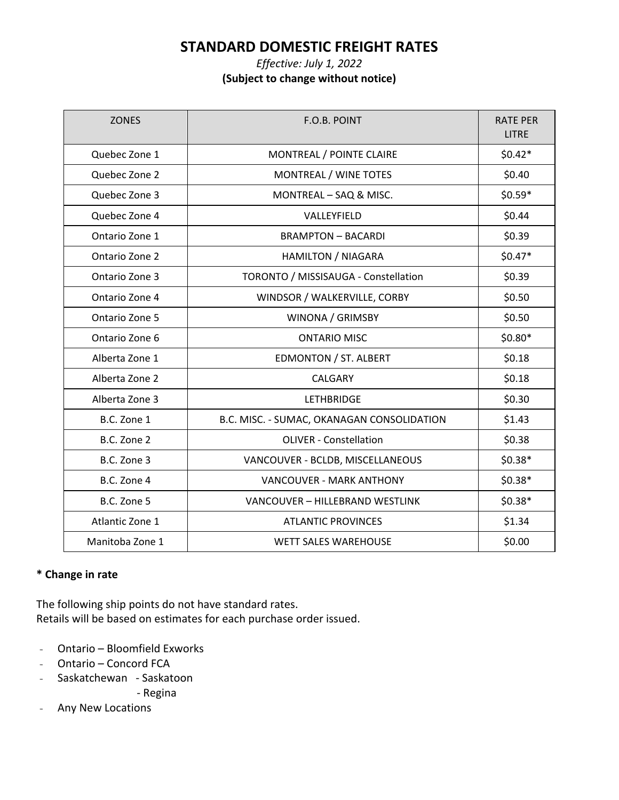# **STANDARD DOMESTIC FREIGHT RATES**

### *Effective: July 1, 2022* **(Subject to change without notice)**

| <b>ZONES</b>    | F.O.B. POINT                               | <b>RATE PER</b><br><b>LITRE</b> |
|-----------------|--------------------------------------------|---------------------------------|
| Quebec Zone 1   | MONTREAL / POINTE CLAIRE                   | $$0.42*$                        |
| Quebec Zone 2   | MONTREAL / WINE TOTES                      | \$0.40                          |
| Quebec Zone 3   | MONTREAL - SAQ & MISC.                     | $$0.59*$                        |
| Quebec Zone 4   | VALLEYFIELD                                | \$0.44                          |
| Ontario Zone 1  | <b>BRAMPTON - BACARDI</b>                  | \$0.39                          |
| Ontario Zone 2  | <b>HAMILTON / NIAGARA</b>                  | $$0.47*$                        |
| Ontario Zone 3  | TORONTO / MISSISAUGA - Constellation       | \$0.39                          |
| Ontario Zone 4  | WINDSOR / WALKERVILLE, CORBY               | \$0.50                          |
| Ontario Zone 5  | WINONA / GRIMSBY                           | \$0.50                          |
| Ontario Zone 6  | <b>ONTARIO MISC</b>                        | $$0.80*$                        |
| Alberta Zone 1  | EDMONTON / ST. ALBERT                      | \$0.18                          |
| Alberta Zone 2  | CALGARY                                    | \$0.18                          |
| Alberta Zone 3  | <b>LETHBRIDGE</b>                          | \$0.30                          |
| B.C. Zone 1     | B.C. MISC. - SUMAC, OKANAGAN CONSOLIDATION | \$1.43                          |
| B.C. Zone 2     | <b>OLIVER - Constellation</b>              | \$0.38                          |
| B.C. Zone 3     | VANCOUVER - BCLDB, MISCELLANEOUS           | $$0.38*$                        |
| B.C. Zone 4     | VANCOUVER - MARK ANTHONY                   | $$0.38*$                        |
| B.C. Zone 5     | VANCOUVER - HILLEBRAND WESTLINK            | $$0.38*$                        |
| Atlantic Zone 1 | <b>ATLANTIC PROVINCES</b>                  | \$1.34                          |
| Manitoba Zone 1 | <b>WETT SALES WAREHOUSE</b>                | \$0.00                          |

#### **\* Change in rate**

The following ship points do not have standard rates. Retails will be based on estimates for each purchase order issued.

- Ontario Bloomfield Exworks
- Ontario Concord FCA
- Saskatchewan Saskatoon

- Regina

- Any New Locations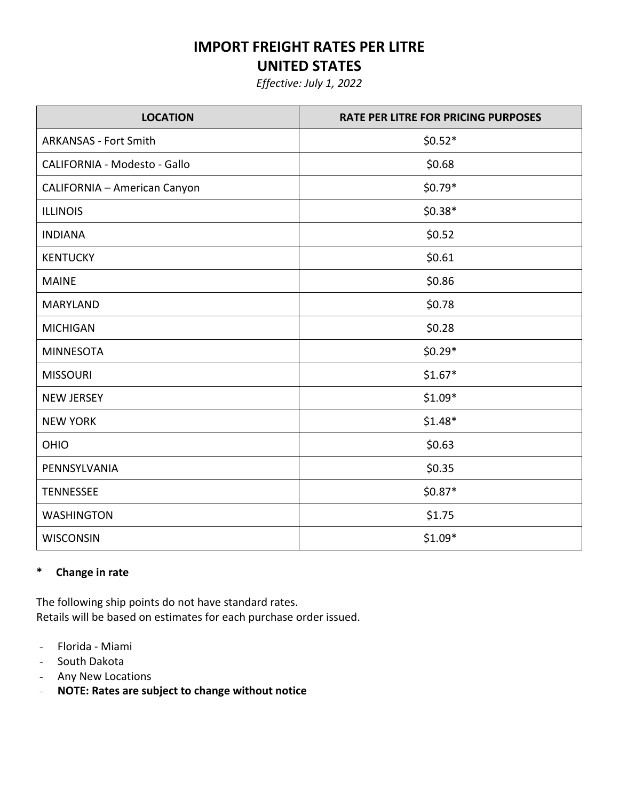# **IMPORT FREIGHT RATES PER LITRE**

# **UNITED STATES**

*Effective: July 1, 2022*

| <b>LOCATION</b>                     | <b>RATE PER LITRE FOR PRICING PURPOSES</b> |
|-------------------------------------|--------------------------------------------|
| <b>ARKANSAS - Fort Smith</b>        | $$0.52*$                                   |
| CALIFORNIA - Modesto - Gallo        | \$0.68                                     |
| <b>CALIFORNIA - American Canyon</b> | $$0.79*$                                   |
| <b>ILLINOIS</b>                     | $$0.38*$                                   |
| <b>INDIANA</b>                      | \$0.52                                     |
| <b>KENTUCKY</b>                     | \$0.61                                     |
| <b>MAINE</b>                        | \$0.86                                     |
| <b>MARYLAND</b>                     | \$0.78                                     |
| <b>MICHIGAN</b>                     | \$0.28                                     |
| <b>MINNESOTA</b>                    | $$0.29*$                                   |
| <b>MISSOURI</b>                     | $$1.67*$                                   |
| <b>NEW JERSEY</b>                   | $$1.09*$                                   |
| <b>NEW YORK</b>                     | $$1.48*$                                   |
| OHIO                                | \$0.63                                     |
| PENNSYLVANIA                        | \$0.35                                     |
| <b>TENNESSEE</b>                    | $$0.87*$                                   |
| <b>WASHINGTON</b>                   | \$1.75                                     |
| <b>WISCONSIN</b>                    | $$1.09*$                                   |

#### **\* Change in rate**

The following ship points do not have standard rates. Retails will be based on estimates for each purchase order issued.

- Florida Miami
- South Dakota
- Any New Locations
- **NOTE: Rates are subject to change without notice**